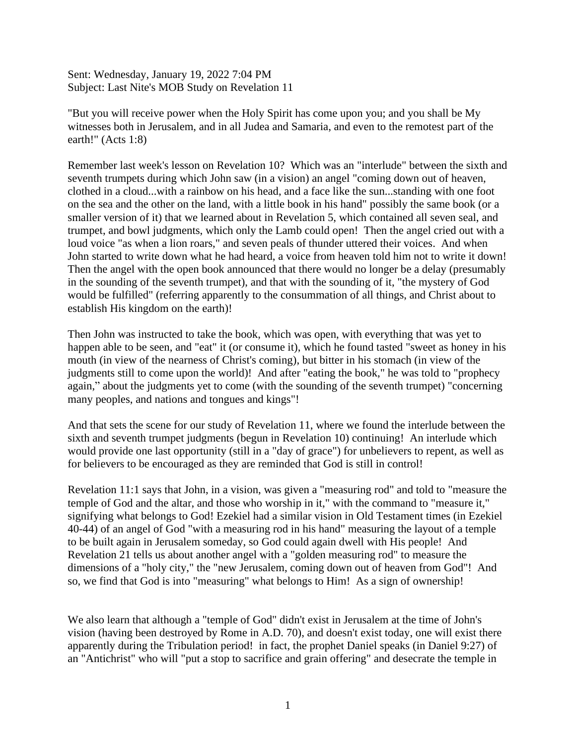Sent: Wednesday, January 19, 2022 7:04 PM Subject: Last Nite's MOB Study on Revelation 11

"But you will receive power when the Holy Spirit has come upon you; and you shall be My witnesses both in Jerusalem, and in all Judea and Samaria, and even to the remotest part of the earth!" (Acts 1:8)

Remember last week's lesson on Revelation 10? Which was an "interlude" between the sixth and seventh trumpets during which John saw (in a vision) an angel "coming down out of heaven, clothed in a cloud...with a rainbow on his head, and a face like the sun...standing with one foot on the sea and the other on the land, with a little book in his hand" possibly the same book (or a smaller version of it) that we learned about in Revelation 5, which contained all seven seal, and trumpet, and bowl judgments, which only the Lamb could open! Then the angel cried out with a loud voice "as when a lion roars," and seven peals of thunder uttered their voices. And when John started to write down what he had heard, a voice from heaven told him not to write it down! Then the angel with the open book announced that there would no longer be a delay (presumably in the sounding of the seventh trumpet), and that with the sounding of it, "the mystery of God would be fulfilled" (referring apparently to the consummation of all things, and Christ about to establish His kingdom on the earth)!

Then John was instructed to take the book, which was open, with everything that was yet to happen able to be seen, and "eat" it (or consume it), which he found tasted "sweet as honey in his mouth (in view of the nearness of Christ's coming), but bitter in his stomach (in view of the judgments still to come upon the world)! And after "eating the book," he was told to "prophecy again," about the judgments yet to come (with the sounding of the seventh trumpet) "concerning many peoples, and nations and tongues and kings"!

And that sets the scene for our study of Revelation 11, where we found the interlude between the sixth and seventh trumpet judgments (begun in Revelation 10) continuing! An interlude which would provide one last opportunity (still in a "day of grace") for unbelievers to repent, as well as for believers to be encouraged as they are reminded that God is still in control!

Revelation 11:1 says that John, in a vision, was given a "measuring rod" and told to "measure the temple of God and the altar, and those who worship in it," with the command to "measure it," signifying what belongs to God! Ezekiel had a similar vision in Old Testament times (in Ezekiel 40-44) of an angel of God "with a measuring rod in his hand" measuring the layout of a temple to be built again in Jerusalem someday, so God could again dwell with His people! And Revelation 21 tells us about another angel with a "golden measuring rod" to measure the dimensions of a "holy city," the "new Jerusalem, coming down out of heaven from God"! And so, we find that God is into "measuring" what belongs to Him! As a sign of ownership!

We also learn that although a "temple of God" didn't exist in Jerusalem at the time of John's vision (having been destroyed by Rome in A.D. 70), and doesn't exist today, one will exist there apparently during the Tribulation period! in fact, the prophet Daniel speaks (in Daniel 9:27) of an "Antichrist" who will "put a stop to sacrifice and grain offering" and desecrate the temple in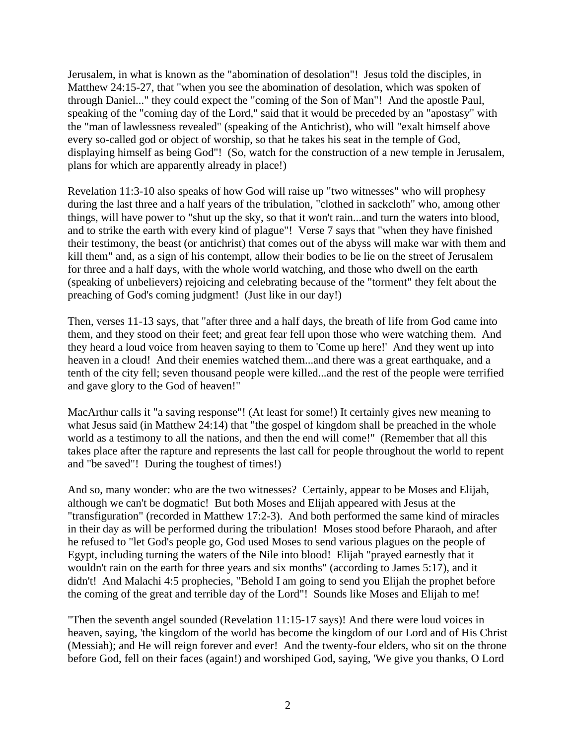Jerusalem, in what is known as the "abomination of desolation"! Jesus told the disciples, in Matthew 24:15-27, that "when you see the abomination of desolation, which was spoken of through Daniel..." they could expect the "coming of the Son of Man"! And the apostle Paul, speaking of the "coming day of the Lord," said that it would be preceded by an "apostasy" with the "man of lawlessness revealed" (speaking of the Antichrist), who will "exalt himself above every so-called god or object of worship, so that he takes his seat in the temple of God, displaying himself as being God"! (So, watch for the construction of a new temple in Jerusalem, plans for which are apparently already in place!)

Revelation 11:3-10 also speaks of how God will raise up "two witnesses" who will prophesy during the last three and a half years of the tribulation, "clothed in sackcloth" who, among other things, will have power to "shut up the sky, so that it won't rain...and turn the waters into blood, and to strike the earth with every kind of plague"! Verse 7 says that "when they have finished their testimony, the beast (or antichrist) that comes out of the abyss will make war with them and kill them" and, as a sign of his contempt, allow their bodies to be lie on the street of Jerusalem for three and a half days, with the whole world watching, and those who dwell on the earth (speaking of unbelievers) rejoicing and celebrating because of the "torment" they felt about the preaching of God's coming judgment! (Just like in our day!)

Then, verses 11-13 says, that "after three and a half days, the breath of life from God came into them, and they stood on their feet; and great fear fell upon those who were watching them. And they heard a loud voice from heaven saying to them to 'Come up here!' And they went up into heaven in a cloud! And their enemies watched them...and there was a great earthquake, and a tenth of the city fell; seven thousand people were killed...and the rest of the people were terrified and gave glory to the God of heaven!"

MacArthur calls it "a saving response"! (At least for some!) It certainly gives new meaning to what Jesus said (in Matthew 24:14) that "the gospel of kingdom shall be preached in the whole world as a testimony to all the nations, and then the end will come!" (Remember that all this takes place after the rapture and represents the last call for people throughout the world to repent and "be saved"! During the toughest of times!)

And so, many wonder: who are the two witnesses? Certainly, appear to be Moses and Elijah, although we can't be dogmatic! But both Moses and Elijah appeared with Jesus at the "transfiguration" (recorded in Matthew 17:2-3). And both performed the same kind of miracles in their day as will be performed during the tribulation! Moses stood before Pharaoh, and after he refused to "let God's people go, God used Moses to send various plagues on the people of Egypt, including turning the waters of the Nile into blood! Elijah "prayed earnestly that it wouldn't rain on the earth for three years and six months" (according to James 5:17), and it didn't! And Malachi 4:5 prophecies, "Behold I am going to send you Elijah the prophet before the coming of the great and terrible day of the Lord"! Sounds like Moses and Elijah to me!

"Then the seventh angel sounded (Revelation 11:15-17 says)! And there were loud voices in heaven, saying, 'the kingdom of the world has become the kingdom of our Lord and of His Christ (Messiah); and He will reign forever and ever! And the twenty-four elders, who sit on the throne before God, fell on their faces (again!) and worshiped God, saying, 'We give you thanks, O Lord